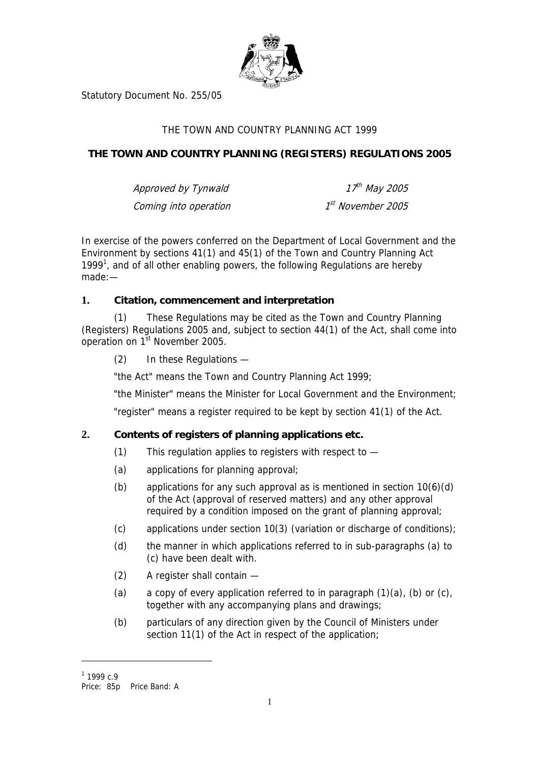

Statutory Document No. 255/05

# THE TOWN AND COUNTRY PLANNING ACT 1999

# **THE TOWN AND COUNTRY PLANNING (REGISTERS) REGULATIONS 2005**

| Approved by Tynwald   | 17 <sup>th</sup> May 2005 |
|-----------------------|---------------------------|
| Coming into operation | 1st November 2005         |

In exercise of the powers conferred on the Department of Local Government and the Environment by sections 41(1) and 45(1) of the Town and Country Planning Act [1](#page-0-0)999<sup>1</sup>, and of all other enabling powers, the following Regulations are hereby made:—

#### **1. Citation, commencement and interpretation**

These Regulations may be cited as the Town and Country Planning (Registers) Regulations 2005 and, subject to section 44(1) of the Act, shall come into operation on 1<sup>st</sup> November 2005.

(2) In these Regulations —

"the Act" means the Town and Country Planning Act 1999;

"the Minister" means the Minister for Local Government and the Environment;

"register" means a register required to be kept by section 41(1) of the Act.

#### **2. Contents of registers of planning applications etc.**

- (1) This regulation applies to registers with respect to —
- (a) applications for planning approval;
- (b) applications for any such approval as is mentioned in section  $10(6)(d)$ of the Act (approval of reserved matters) and any other approval required by a condition imposed on the grant of planning approval;
- (c) applications under section 10(3) (variation or discharge of conditions);
- (d) the manner in which applications referred to in sub-paragraphs (a) to (c) have been dealt with.
- (2) A register shall contain —
- (a) a copy of every application referred to in paragraph  $(1)(a)$ ,  $(b)$  or  $(c)$ , together with any accompanying plans and drawings;
- (b) particulars of any direction given by the Council of Ministers under section 11(1) of the Act in respect of the application;

 $\overline{a}$ 

<span id="page-0-0"></span> $1$  1999 c.9

Price: 85p Price Band: A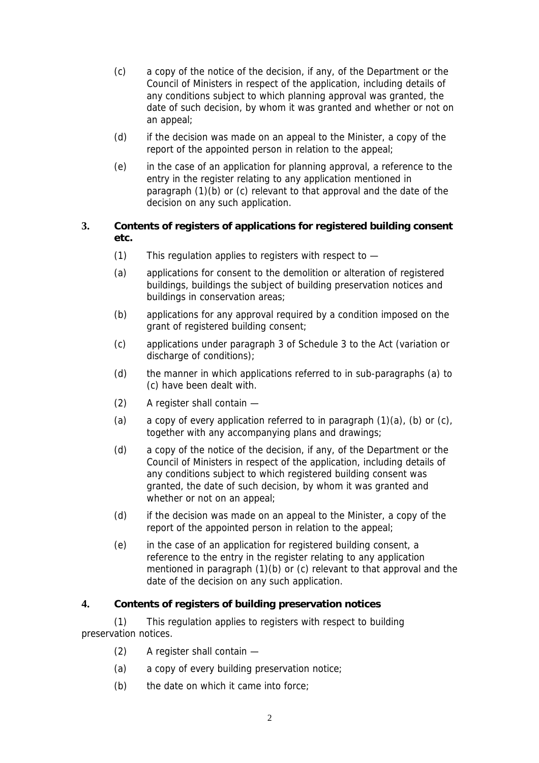- (c) a copy of the notice of the decision, if any, of the Department or the Council of Ministers in respect of the application, including details of any conditions subject to which planning approval was granted, the date of such decision, by whom it was granted and whether or not on an appeal;
- (d) if the decision was made on an appeal to the Minister, a copy of the report of the appointed person in relation to the appeal;
- (e) in the case of an application for planning approval, a reference to the entry in the register relating to any application mentioned in paragraph (1)(b) or (c) relevant to that approval and the date of the decision on any such application.

# **3. Contents of registers of applications for registered building consent etc.**

- (1) This regulation applies to registers with respect to —
- (a) applications for consent to the demolition or alteration of registered buildings, buildings the subject of building preservation notices and buildings in conservation areas;
- (b) applications for any approval required by a condition imposed on the grant of registered building consent;
- (c) applications under paragraph 3 of Schedule 3 to the Act (variation or discharge of conditions);
- (d) the manner in which applications referred to in sub-paragraphs (a) to (c) have been dealt with.
- (2) A register shall contain —
- (a) a copy of every application referred to in paragraph  $(1)(a)$ ,  $(b)$  or  $(c)$ , together with any accompanying plans and drawings;
- (d) a copy of the notice of the decision, if any, of the Department or the Council of Ministers in respect of the application, including details of any conditions subject to which registered building consent was granted, the date of such decision, by whom it was granted and whether or not on an appeal;
- (d) if the decision was made on an appeal to the Minister, a copy of the report of the appointed person in relation to the appeal;
- (e) in the case of an application for registered building consent, a reference to the entry in the register relating to any application mentioned in paragraph (1)(b) or (c) relevant to that approval and the date of the decision on any such application.

#### **4. Contents of registers of building preservation notices**

(1) This regulation applies to registers with respect to building preservation notices.

- (2) A register shall contain —
- (a) a copy of every building preservation notice;
- (b) the date on which it came into force;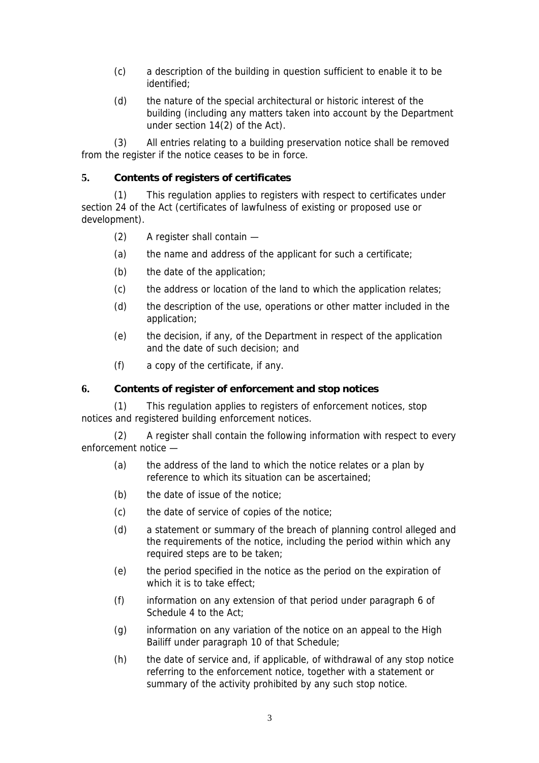- (c) a description of the building in question sufficient to enable it to be identified;
- (d) the nature of the special architectural or historic interest of the building (including any matters taken into account by the Department under section 14(2) of the Act).

(3) All entries relating to a building preservation notice shall be removed from the register if the notice ceases to be in force.

## **5. Contents of registers of certificates**

(1) This regulation applies to registers with respect to certificates under section 24 of the Act (certificates of lawfulness of existing or proposed use or development).

- (2) A register shall contain —
- (a) the name and address of the applicant for such a certificate;
- (b) the date of the application;
- (c) the address or location of the land to which the application relates;
- (d) the description of the use, operations or other matter included in the application;
- (e) the decision, if any, of the Department in respect of the application and the date of such decision; and
- (f) a copy of the certificate, if any.

#### **6. Contents of register of enforcement and stop notices**

(1) This regulation applies to registers of enforcement notices, stop notices and registered building enforcement notices.

(2) A register shall contain the following information with respect to every enforcement notice —

- (a) the address of the land to which the notice relates or a plan by reference to which its situation can be ascertained;
- (b) the date of issue of the notice;
- (c) the date of service of copies of the notice;
- (d) a statement or summary of the breach of planning control alleged and the requirements of the notice, including the period within which any required steps are to be taken;
- (e) the period specified in the notice as the period on the expiration of which it is to take effect:
- (f) information on any extension of that period under paragraph 6 of Schedule 4 to the Act;
- (g) information on any variation of the notice on an appeal to the High Bailiff under paragraph 10 of that Schedule;
- (h) the date of service and, if applicable, of withdrawal of any stop notice referring to the enforcement notice, together with a statement or summary of the activity prohibited by any such stop notice.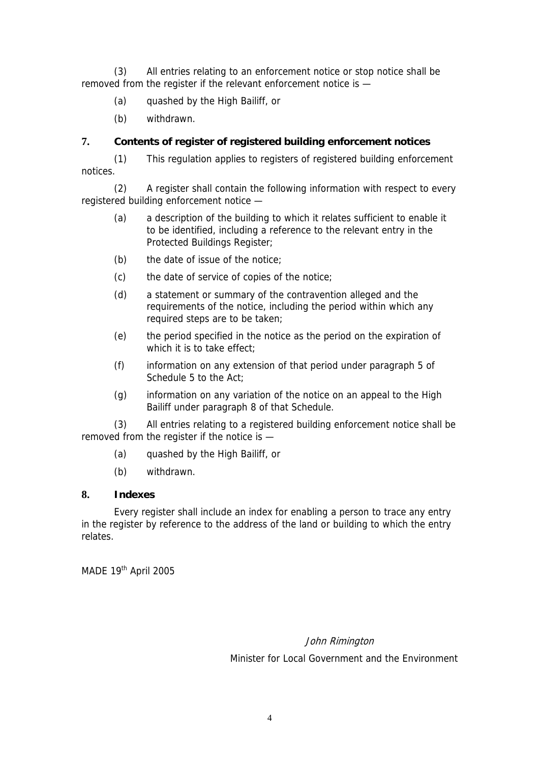(3) All entries relating to an enforcement notice or stop notice shall be removed from the register if the relevant enforcement notice is —

- (a) quashed by the High Bailiff, or
- (b) withdrawn.

## **7. Contents of register of registered building enforcement notices**

(1) This regulation applies to registers of registered building enforcement notices.

(2) A register shall contain the following information with respect to every registered building enforcement notice —

- (a) a description of the building to which it relates sufficient to enable it to be identified, including a reference to the relevant entry in the Protected Buildings Register;
- (b) the date of issue of the notice;
- (c) the date of service of copies of the notice;
- (d) a statement or summary of the contravention alleged and the requirements of the notice, including the period within which any required steps are to be taken;
- (e) the period specified in the notice as the period on the expiration of which it is to take effect;
- (f) information on any extension of that period under paragraph 5 of Schedule 5 to the Act;
- (g) information on any variation of the notice on an appeal to the High Bailiff under paragraph 8 of that Schedule.

(3) All entries relating to a registered building enforcement notice shall be removed from the register if the notice is —

- (a) quashed by the High Bailiff, or
- (b) withdrawn.

## **8. Indexes**

Every register shall include an index for enabling a person to trace any entry in the register by reference to the address of the land or building to which the entry relates.

MADE 19th April 2005

# John Rimington Minister for Local Government and the Environment